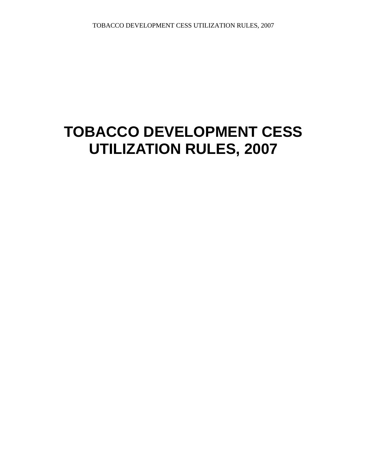# **TOBACCO DEVELOPMENT CESS UTILIZATION RULES, 2007**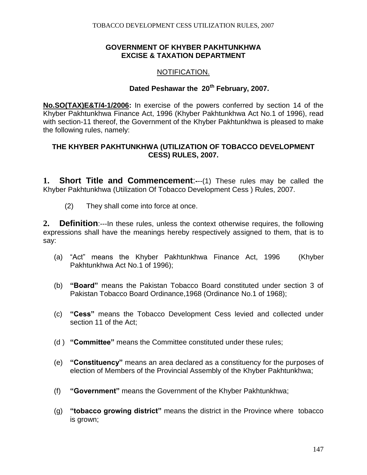#### **GOVERNMENT OF KHYBER PAKHTUNKHWA EXCISE & TAXATION DEPARTMENT**

### NOTIFICATION.

# **Dated Peshawar the 20th February, 2007.**

**No.SO(TAX)E&T/4-1/2006:** In exercise of the powers conferred by section 14 of the Khyber Pakhtunkhwa Finance Act, 1996 (Khyber Pakhtunkhwa Act No.1 of 1996), read with section-11 thereof, the Government of the Khyber Pakhtunkhwa is pleased to make the following rules, namely:

#### **THE KHYBER PAKHTUNKHWA (UTILIZATION OF TOBACCO DEVELOPMENT CESS) RULES, 2007.**

**1. Short Title and Commencement**:**-**--(1) These rules may be called the Khyber Pakhtunkhwa (Utilization Of Tobacco Development Cess ) Rules, 2007.

(2) They shall come into force at once.

**2. Definition**:---In these rules, unless the context otherwise requires, the following expressions shall have the meanings hereby respectively assigned to them, that is to say:

- (a) "Act" means the Khyber Pakhtunkhwa Finance Act, 1996 (Khyber Pakhtunkhwa Act No.1 of 1996);
- (b) **"Board"** means the Pakistan Tobacco Board constituted under section 3 of Pakistan Tobacco Board Ordinance,1968 (Ordinance No.1 of 1968);
- (c) **"Cess"** means the Tobacco Development Cess levied and collected under section 11 of the Act;
- (d ) **"Committee"** means the Committee constituted under these rules;
- (e) **"Constituency"** means an area declared as a constituency for the purposes of election of Members of the Provincial Assembly of the Khyber Pakhtunkhwa;
- (f) **"Government"** means the Government of the Khyber Pakhtunkhwa;
- (g) **"tobacco growing district"** means the district in the Province where tobacco is grown;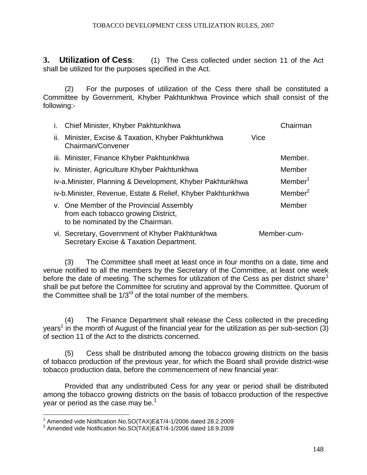**3. Utilization of Cess**: (1) The Cess collected under section 11 of the Act shall be utilized for the purposes specified in the Act.

(2) For the purposes of utilization of the Cess there shall be constituted a Committee by Government, Khyber Pakhtunkhwa Province which shall consist of the following:-

|     | i. Chief Minister, Khyber Pakhtunkhwa                                                                               |      | Chairman            |
|-----|---------------------------------------------------------------------------------------------------------------------|------|---------------------|
| ii. | Minister, Excise & Taxation, Khyber Pakhtunkhwa<br>Chairman/Convener                                                | Vice |                     |
|     | iii. Minister, Finance Khyber Pakhtunkhwa                                                                           |      | Member.             |
|     | iv. Minister, Agriculture Khyber Pakhtunkhwa                                                                        |      | Member              |
|     | iv-a. Minister, Planning & Development, Khyber Pakhtunkhwa                                                          |      | Member <sup>1</sup> |
|     | iv-b. Minister, Revenue, Estate & Relief, Khyber Pakhtunkhwa                                                        |      | Member <sup>2</sup> |
|     | v. One Member of the Provincial Assembly<br>from each tobacco growing District,<br>to be nominated by the Chairman. |      | Member              |
|     | vi. Secretary, Government of Khyber Pakhtunkhwa<br>Secretary Excise & Taxation Department.                          |      | Member-cum-         |

(3) The Committee shall meet at least once in four months on a date, time and venue notified to all the members by the Secretary of the Committee, at least one week before the date of meeting. The schemes for utilization of the Cess as per district share<sup>1</sup> shall be put before the Committee for scrutiny and approval by the Committee. Quorum of the Committee shall be  $1/3^{rd}$  of the total number of the members.

(4) The Finance Department shall release the Cess collected in the preceding years<sup>1</sup> in the month of August of the financial year for the utilization as per sub-section (3) of section 11 of the Act to the districts concerned.

(5) Cess shall be distributed among the tobacco growing districts on the basis of tobacco production of the previous year, for which the Board shall provide district-wise tobacco production data, before the commencement of new financial year:

Provided that any undistributed Cess for any year or period shall be distributed among the tobacco growing districts on the basis of tobacco production of the respective year or period as the case may be.<sup>1</sup>

 1 Amended vide Notification No.SO(TAX)E&T/4-1/2006 dated 28.2.2009 2 Amended vide Notification No.SO(TAX)E&T/4-1/2006 dated 18.9.2009